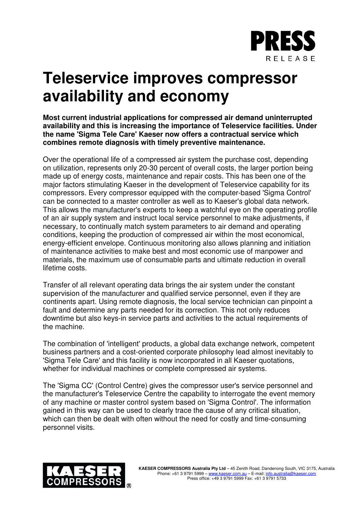

## **Teleservice improves compressor availability and economy**

**Most current industrial applications for compressed air demand uninterrupted availability and this is increasing the importance of Teleservice facilities. Under the name 'Sigma Tele Care' Kaeser now offers a contractual service which combines remote diagnosis with timely preventive maintenance.**

Over the operational life of a compressed air system the purchase cost, depending on utilization, represents only 20-30 percent of overall costs, the larger portion being made up of energy costs, maintenance and repair costs. This has been one of the major factors stimulating Kaeser in the development of Teleservice capability for its compressors. Every compressor equipped with the computer-based 'Sigma Control' can be connected to a master controller as well as to Kaeser's global data network. This allows the manufacturer's experts to keep a watchful eye on the operating profile of an air supply system and instruct local service personnel to make adjustments, if necessary, to continually match system parameters to air demand and operating conditions, keeping the production of compressed air within the most economical, energy-efficient envelope. Continuous monitoring also allows planning and initiation of maintenance activities to make best and most economic use of manpower and materials, the maximum use of consumable parts and ultimate reduction in overall lifetime costs.

Transfer of all relevant operating data brings the air system under the constant supervision of the manufacturer and qualified service personnel, even if they are continents apart. Using remote diagnosis, the local service technician can pinpoint a fault and determine any parts needed for its correction. This not only reduces downtime but also keys-in service parts and activities to the actual requirements of the machine.

The combination of 'intelligent' products, a global data exchange network, competent business partners and a cost-oriented corporate philosophy lead almost inevitably to 'Sigma Tele Care' and this facility is now incorporated in all Kaeser quotations, whether for individual machines or complete compressed air systems.

The 'Sigma CC' (Control Centre) gives the compressor user's service personnel and the manufacturer's Teleservice Centre the capability to interrogate the event memory of any machine or master control system based on 'Sigma Control'. The information gained in this way can be used to clearly trace the cause of any critical situation, which can then be dealt with often without the need for costly and time-consuming personnel visits.